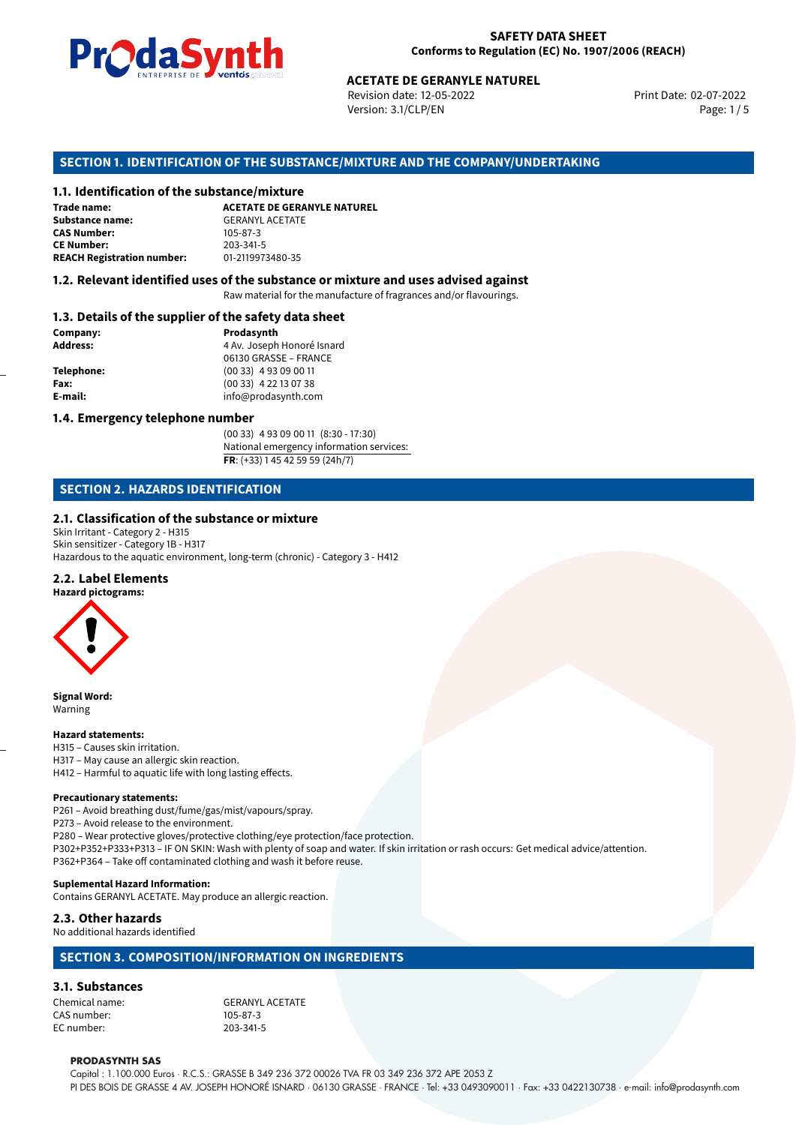

Revision date: 12-05-2022 Version: 3.1/CLP/EN Page: 1 / 5

Print Date: 02-07-2022

# **ACETATE DE GERANYLE NATUREL<br>
Revision date: 12-05-2022<br>
Version: 3.1/CLP/EN<br>
OF THE SUBSTANCE/MIXTURE AND THE COMPANY/UND<br>
tance/mixture<br>
ACETATE DE GERANYLE NATUREL SECTION 1. IDENTIFICATION OF THE SUBSTANCE/MIXTURE AND THE COMPANY/UNDERTAKING**

#### **1.1. Identification of the substance/mixture**

| Trade name:                       | <b>ACETATE DE GERANYLE</b> |
|-----------------------------------|----------------------------|
| <b>Substance name:</b>            | <b>GERANYL ACETATE</b>     |
| <b>CAS Number:</b>                | $105 - 87 - 3$             |
| <b>CE Number:</b>                 | 203-341-5                  |
| <b>REACH Registration number:</b> | 01-2119973480-35           |

#### **1.2. Relevant identified uses of the substance or mixture and uses advised against**

Raw material for the manufacture of fragrances and/or flavourings.

#### **1.3. Details of the supplier of the safety data sheet**

| Company:          | Prodasynth                 |  |
|-------------------|----------------------------|--|
| <b>Address:</b>   | 4 Av. Joseph Honoré Isnard |  |
|                   | 06130 GRASSE - FRANCE      |  |
| <b>Telephone:</b> | $(0033)$ 4 93 09 00 11     |  |
| Fax:              | $(0033)$ 4 22 13 07 38     |  |
| E-mail:           | info@prodasynth.com        |  |
|                   |                            |  |

#### **1.4. Emergency telephone number**

(00 33) 4 93 09 00 11 (8:30 - 17:30) National emergency information services: **FR**: (+33) 1 45 42 59 59 (24h/7)

#### **SECTION 2. HAZARDS IDENTIFICATION**

#### **2.1. Classification of the substance or mixture**

Skin Irritant - Category 2 - H315 Skin sensitizer - Category 1B - H317 Hazardous to the aquatic environment, long-term (chronic) - Category 3 - H412

#### **2.2. Label Elements**

**Hazard pictograms:**



**Signal Word:** Warning

#### **Hazard statements:**

H315 – Causes skin irritation. H317 – May cause an allergic skin reaction. H412 – Harmful to aquatic life with long lasting effects.

#### **Precautionary statements:**

P261 – Avoid breathing dust/fume/gas/mist/vapours/spray.

P273 – Avoid release to the environment.

P280 – Wear protective gloves/protective clothing/eye protection/face protection. P302+P352+P333+P313 – IF ON SKIN: Wash with plenty of soap and water. If skin irritation or rash occurs: Get medical advice/attention. P362+P364 – Take off contaminated clothing and wash it before reuse.

#### **Suplemental Hazard Information:**

Contains GERANYL ACETATE. May produce an allergic reaction.

#### **2.3. Other hazards**

No additional hazards identified

#### **SECTION 3. COMPOSITION/INFORMATION ON INGREDIENTS**

#### **3.1. Substances**

CAS number: 105-87-3<br>EC number: 203-341-5 EC number:

Chemical name: GERANYL ACETATE

#### **PRODASYNTH SAS**

Capital : 1.100.000 Euros · R.C.S.: GRASSE B 349 236 372 00026 TVA FR 03 349 236 372 APE 2053 Z PI DES BOIS DE GRASSE 4 AV. JOSEPH HONORÉ ISNARD · 06130 GRASSE · FRANCE · Tel: +33 0493090011 · Fax: +33 0422130738 · e-mail: info@prodasynth.com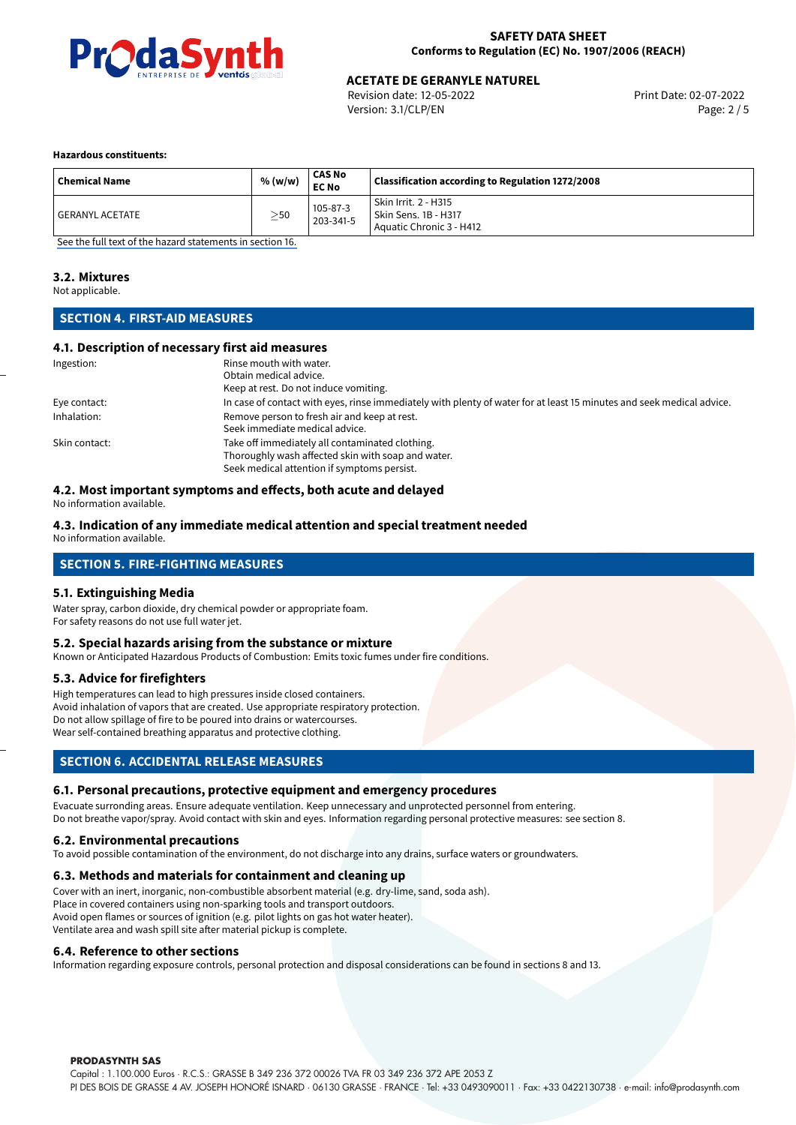

Revision date: 12-05-2022 Version: 3.1/CLP/EN Page: 2 / 5

#### **Hazardous constituents:**

| <b>Chemical Name</b> | % (w/w)   | <b>CAS No</b><br><b>EC No</b> | Classification according to Regulation 1272/2008                         |
|----------------------|-----------|-------------------------------|--------------------------------------------------------------------------|
| I GERANYL ACETATE    | $\geq$ 50 | 105-87-3<br>203-341-5         | Skin Irrit. 2 - H315<br>Skin Sens. 1B - H317<br>Aquatic Chronic 3 - H412 |

[See the full text of the hazard statements in section 16.](#page-4-0)

#### **3.2. Mixtures**

Not applicable.

#### **SECTION 4. FIRST-AID MEASURES**

#### **4.1. Description of necessary first aid measures**

| Ingestion:    | Rinse mouth with water.                                                                                               |
|---------------|-----------------------------------------------------------------------------------------------------------------------|
|               | Obtain medical advice.                                                                                                |
|               | Keep at rest. Do not induce vomiting.                                                                                 |
| Eye contact:  | In case of contact with eyes, rinse immediately with plenty of water for at least 15 minutes and seek medical advice. |
| Inhalation:   | Remove person to fresh air and keep at rest.                                                                          |
|               | Seek immediate medical advice.                                                                                        |
| Skin contact: | Take off immediately all contaminated clothing.                                                                       |
|               | Thoroughly wash affected skin with soap and water.                                                                    |
|               | Seek medical attention if symptoms persist.                                                                           |

#### **4.2. Most important symptoms and effects, both acute and delayed**

No information available.

#### **4.3. Indication of any immediate medical attention and special treatment needed**

No information available.

#### **SECTION 5. FIRE-FIGHTING MEASURES**

#### **5.1. Extinguishing Media**

Water spray, carbon dioxide, dry chemical powder or appropriate foam. For safety reasons do not use full water jet.

#### **5.2. Special hazards arising from the substance or mixture**

Known or Anticipated Hazardous Products of Combustion: Emits toxic fumes under fire conditions.

#### **5.3. Advice for firefighters**

High temperatures can lead to high pressures inside closed containers. Avoid inhalation of vapors that are created. Use appropriate respiratory protection. Do not allow spillage of fire to be poured into drains or watercourses. Wear self-contained breathing apparatus and protective clothing.

#### **SECTION 6. ACCIDENTAL RELEASE MEASURES**

#### **6.1. Personal precautions, protective equipment and emergency procedures**

Evacuate surronding areas. Ensure adequate ventilation. Keep unnecessary and unprotected personnel from entering. Do not breathe vapor/spray. Avoid contact with skin and eyes. Information regarding personal protective measures: see section 8.

#### **6.2. Environmental precautions**

To avoid possible contamination of the environment, do not discharge into any drains, surface waters or groundwaters.

#### **6.3. Methods and materials for containment and cleaning up**

Cover with an inert, inorganic, non-combustible absorbent material (e.g. dry-lime, sand, soda ash). Place in covered containers using non-sparking tools and transport outdoors. Avoid open flames or sources of ignition (e.g. pilot lights on gas hot water heater). Ventilate area and wash spill site after material pickup is complete.

#### **6.4. Reference to other sections**

Information regarding exposure controls, personal protection and disposal considerations can be found in sections 8 and 13.

#### **PRODASYNTH SAS**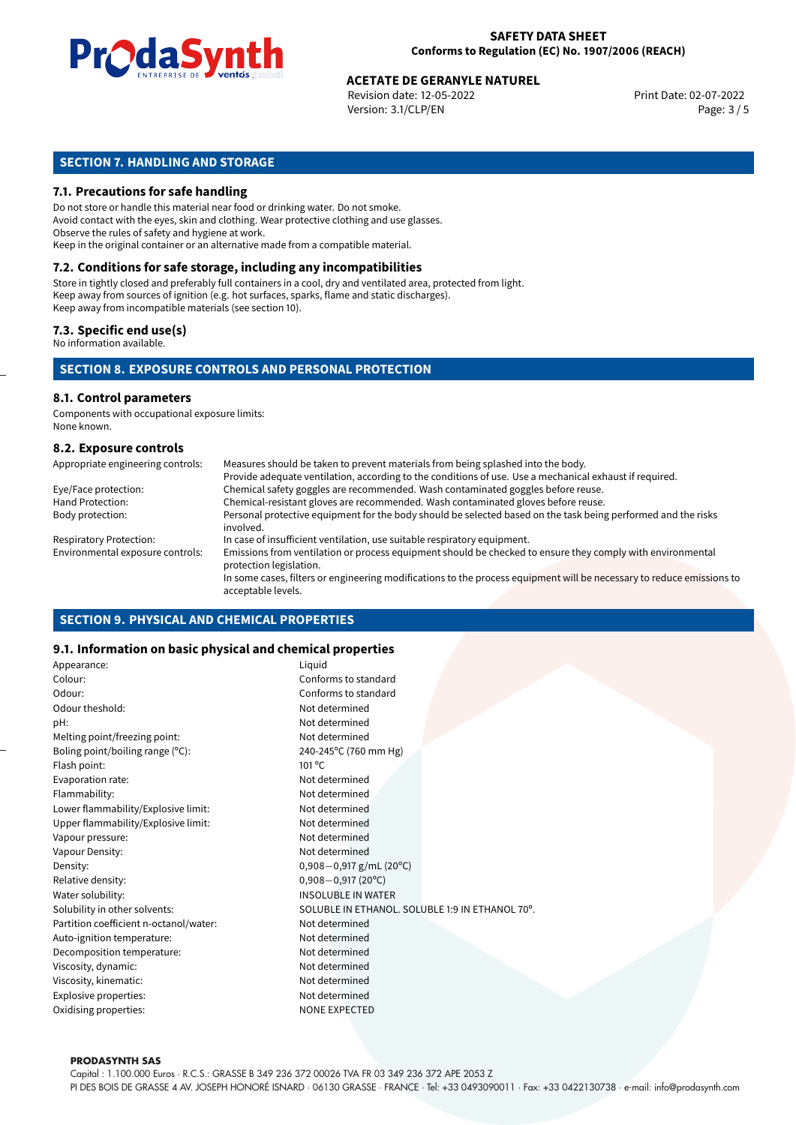

Revision date: 12-05-2022 Version: 3.1/CLP/EN Page: 3 / 5

#### **SECTION 7. HANDLING AND STORAGE**

#### **7.1. Precautions for safe handling**

Do not store or handle this material near food or drinking water. Do not smoke. Avoid contact with the eyes, skin and clothing. Wear protective clothing and use glasses. Observe the rules of safety and hygiene at work. Keep in the original container or an alternative made from a compatible material.

### **7.2. Conditions for safe storage, including any incompatibilities**

Store in tightly closed and preferably full containers in a cool, dry and ventilated area, protected from light. Keep away from sources of ignition (e.g. hot surfaces, sparks, flame and static discharges). Keep away from incompatible materials (see section 10).

#### **7.3. Specific end use(s)**

No information available.

#### **SECTION 8. EXPOSURE CONTROLS AND PERSONAL PROTECTION**

#### **8.1. Control parameters**

Components with occupational exposure limits: None known.

#### **8.2. Exposure controls**

| Appropriate engineering controls: | Measures should be taken to prevent materials from being splashed into the body.                                                            |
|-----------------------------------|---------------------------------------------------------------------------------------------------------------------------------------------|
|                                   | Provide adequate ventilation, according to the conditions of use. Use a mechanical exhaust if required.                                     |
| Eye/Face protection:              | Chemical safety goggles are recommended. Wash contaminated goggles before reuse.                                                            |
| Hand Protection:                  | Chemical-resistant gloves are recommended. Wash contaminated gloves before reuse.                                                           |
| Body protection:                  | Personal protective equipment for the body should be selected based on the task being performed and the risks<br>involved.                  |
| <b>Respiratory Protection:</b>    | In case of insufficient ventilation, use suitable respiratory equipment.                                                                    |
| Environmental exposure controls:  | Emissions from ventilation or process equipment should be checked to ensure they comply with environmental<br>protection legislation.       |
|                                   | In some cases, filters or engineering modifications to the process equipment will be necessary to reduce emissions to<br>acceptable levels. |

#### **SECTION 9. PHYSICAL AND CHEMICAL PROPERTIES**

#### **9.1. Information on basic physical and chemical properties**

| Appearance:                            | Liquid                                          |
|----------------------------------------|-------------------------------------------------|
| Colour:                                | Conforms to standard                            |
| Odour:                                 | Conforms to standard                            |
| Odour theshold:                        | Not determined                                  |
| pH:                                    | Not determined                                  |
| Melting point/freezing point:          | Not determined                                  |
| Boling point/boiling range $(°C)$ :    | 240-245°C (760 mm Hg)                           |
| Flash point:                           | 101 °C                                          |
| Evaporation rate:                      | Not determined                                  |
| Flammability:                          | Not determined                                  |
| Lower flammability/Explosive limit:    | Not determined                                  |
| Upper flammability/Explosive limit:    | Not determined                                  |
| Vapour pressure:                       | Not determined                                  |
| Vapour Density:                        | Not determined                                  |
| Density:                               | $0,908 - 0,917$ g/mL (20°C)                     |
| Relative density:                      | $0,908 - 0,917(20^{\circ}C)$                    |
| Water solubility:                      | <b>INSOLUBLE IN WATER</b>                       |
| Solubility in other solvents:          | SOLUBLE IN ETHANOL. SOLUBLE 1:9 IN ETHANOL 70°. |
| Partition coefficient n-octanol/water: | Not determined                                  |
| Auto-ignition temperature:             | Not determined                                  |
| Decomposition temperature:             | Not determined                                  |
| Viscosity, dynamic:                    | Not determined                                  |
| Viscosity, kinematic:                  | Not determined                                  |
| Explosive properties:                  | Not determined                                  |
| Oxidising properties:                  | <b>NONE EXPECTED</b>                            |
|                                        |                                                 |

#### **PRODASYNTH SAS**

Capital : 1.100.000 Euros · R.C.S.: GRASSE B 349 236 372 00026 TVA FR 03 349 236 372 APE 2053 Z PI DES BOIS DE GRASSE 4 AV. JOSEPH HONORÉ ISNARD · 06130 GRASSE · FRANCE · Tel: +33 0493090011 · Fax: +33 0422130738 · e-mail: info@prodasynth.com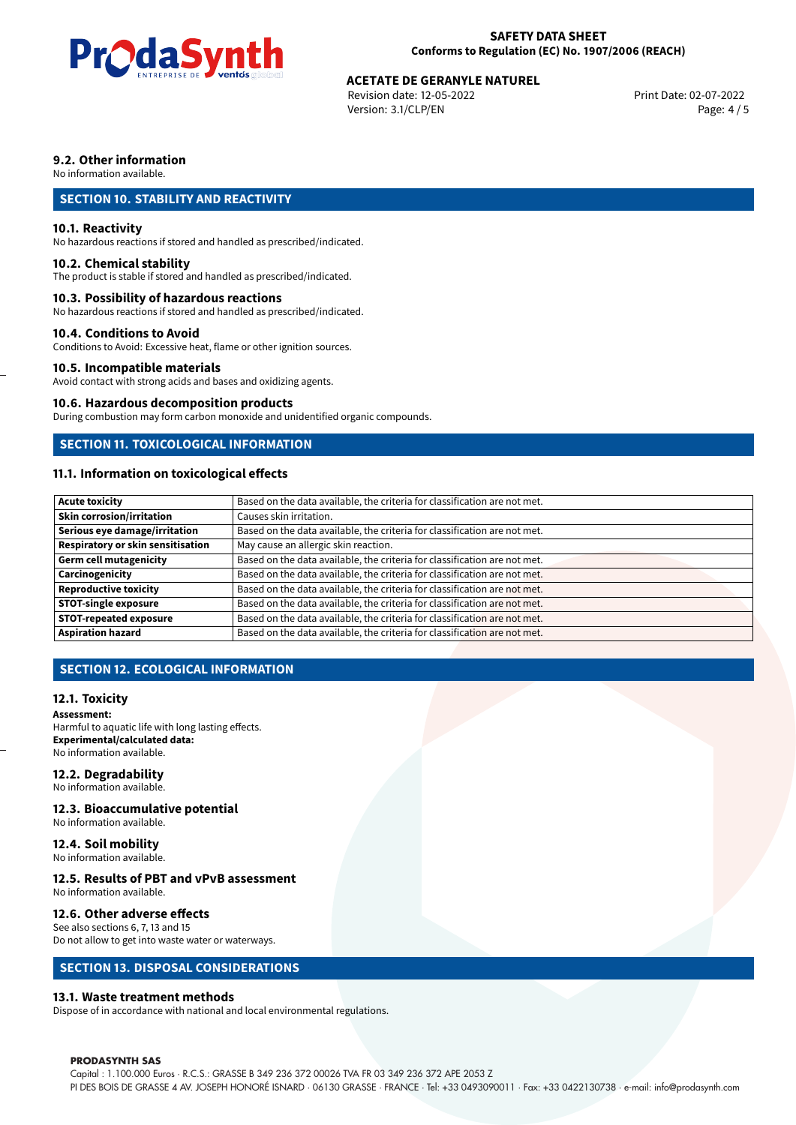

Revision date: 12-05-2022 Version: 3.1/CLP/EN Page: 4 / 5

#### **9.2. Other information**

No information available.

#### **SECTION 10. STABILITY AND REACTIVITY**

#### **10.1. Reactivity**

No hazardous reactions if stored and handled as prescribed/indicated.

#### **10.2. Chemical stability**

The product is stable if stored and handled as prescribed/indicated.

#### **10.3. Possibility of hazardous reactions**

No hazardous reactions if stored and handled as prescribed/indicated.

#### **10.4. Conditions to Avoid**

Conditions to Avoid: Excessive heat, flame or other ignition sources.

#### **10.5. Incompatible materials**

Avoid contact with strong acids and bases and oxidizing agents.

#### **10.6. Hazardous decomposition products**

During combustion may form carbon monoxide and unidentified organic compounds.

#### **SECTION 11. TOXICOLOGICAL INFORMATION**

#### **11.1. Information on toxicological effects**

| <b>Acute toxicity</b>             | Based on the data available, the criteria for classification are not met. |
|-----------------------------------|---------------------------------------------------------------------------|
| Skin corrosion/irritation         | Causes skin irritation.                                                   |
| Serious eye damage/irritation     | Based on the data available, the criteria for classification are not met. |
| Respiratory or skin sensitisation | May cause an allergic skin reaction.                                      |
| Germ cell mutagenicity            | Based on the data available, the criteria for classification are not met. |
| Carcinogenicity                   | Based on the data available, the criteria for classification are not met. |
| Reproductive toxicity             | Based on the data available, the criteria for classification are not met. |
| <b>STOT-single exposure</b>       | Based on the data available, the criteria for classification are not met. |
| <b>STOT-repeated exposure</b>     | Based on the data available, the criteria for classification are not met. |
| <b>Aspiration hazard</b>          | Based on the data available, the criteria for classification are not met. |

#### **SECTION 12. ECOLOGICAL INFORMATION**

#### **12.1. Toxicity**

**Assessment:** Harmful to aquatic life with long lasting effects. **Experimental/calculated data:** No information available.

#### **12.2. Degradability**

No information available.

#### **12.3. Bioaccumulative potential**

No information available.

#### **12.4. Soil mobility**

No information available.

#### **12.5. Results of PBT and vPvB assessment**

No information available.

#### **12.6. Other adverse effects**

See also sections 6, 7, 13 and 15 Do not allow to get into waste water or waterways.

#### **SECTION 13. DISPOSAL CONSIDERATIONS**

#### **13.1. Waste treatment methods**

Dispose of in accordance with national and local environmental regulations.

#### **PRODASYNTH SAS**

Capital : 1.100.000 Euros · R.C.S.: GRASSE B 349 236 372 00026 TVA FR 03 349 236 372 APE 2053 Z PI DES BOIS DE GRASSE 4 AV. JOSEPH HONORÉ ISNARD · 06130 GRASSE · FRANCE · Tel: +33 0493090011 · Fax: +33 0422130738 · e-mail: info@prodasynth.com